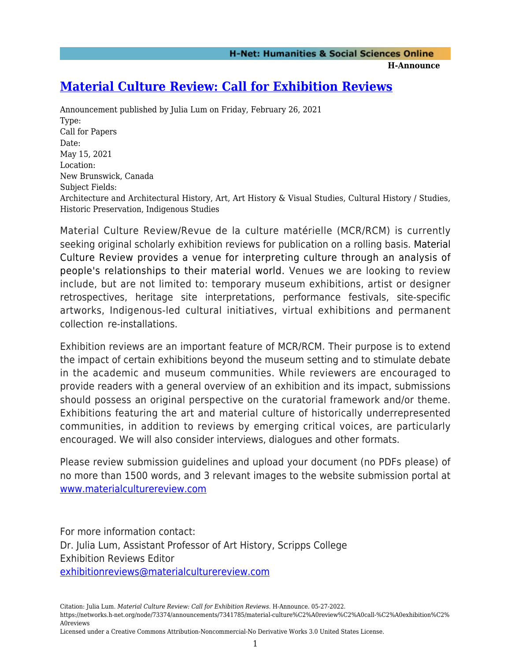## **H-Announce**

## **[Material Culture Review: Call for Exhibition Reviews](https://networks.h-net.org/node/73374/announcements/7341785/material-culture%C2%A0review%C2%A0call-%C2%A0exhibition%C2%A0reviews)**

Announcement published by Julia Lum on Friday, February 26, 2021 Type: Call for Papers Date: May 15, 2021 Location: New Brunswick, Canada Subject Fields: Architecture and Architectural History, Art, Art History & Visual Studies, Cultural History / Studies, Historic Preservation, Indigenous Studies

Material Culture Review/Revue de la culture matérielle (MCR/RCM) is currently seeking original scholarly exhibition reviews for publication on a rolling basis. Material Culture Review provides a venue for interpreting culture through an analysis of people's relationships to their material world. Venues we are looking to review include, but are not limited to: temporary museum exhibitions, artist or designer retrospectives, heritage site interpretations, performance festivals, site-specific artworks, Indigenous-led cultural initiatives, virtual exhibitions and permanent collection re-installations.

Exhibition reviews are an important feature of MCR/RCM. Their purpose is to extend the impact of certain exhibitions beyond the museum setting and to stimulate debate in the academic and museum communities. While reviewers are encouraged to provide readers with a general overview of an exhibition and its impact, submissions should possess an original perspective on the curatorial framework and/or theme. Exhibitions featuring the art and material culture of historically underrepresented communities, in addition to reviews by emerging critical voices, are particularly encouraged. We will also consider interviews, dialogues and other formats.

Please review submission guidelines and upload your document (no PDFs please) of no more than 1500 words, and 3 relevant images to the website submission portal at [www.materialculturereview.com](http://www.materialculturereview.com)

For more information contact: Dr. Julia Lum, Assistant Professor of Art History, Scripps College Exhibition Reviews Editor [exhibitionreviews@materialculturereview.com](mailto:exhibitionreviews@materialculturereview.com)

Citation: Julia Lum. *Material Culture Review: Call for Exhibition Reviews*. H-Announce. 05-27-2022. https://networks.h-net.org/node/73374/announcements/7341785/material-culture%C2%A0review%C2%A0call-%C2%A0exhibition%C2% A0reviews

Licensed under a Creative Commons Attribution-Noncommercial-No Derivative Works 3.0 United States License.